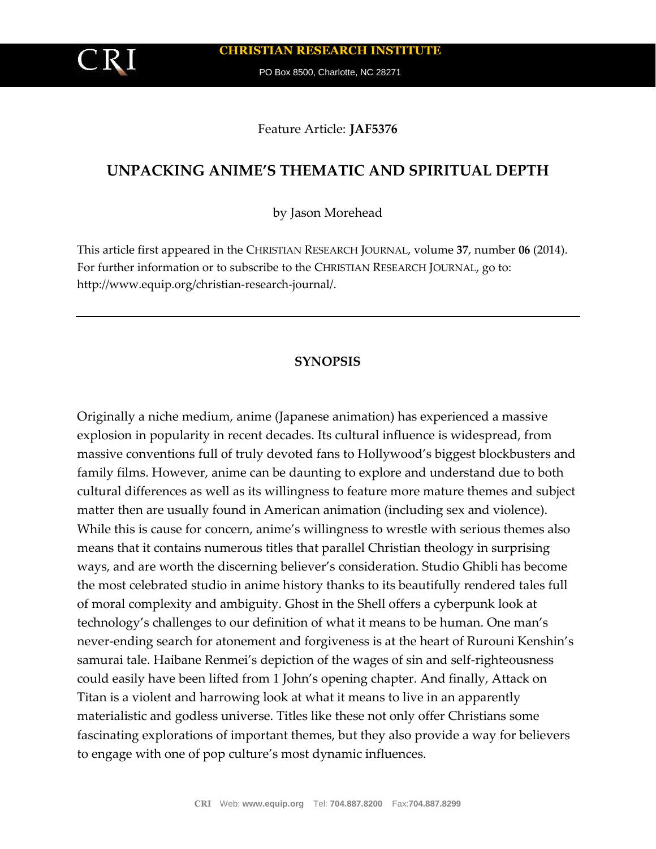**CHRISTIAN RESEARCH INSTITUTE**

PO Box 8500, Charlotte, NC 28271

### Feature Article: **JAF5376**

# **UNPACKING ANIME'S THEMATIC AND SPIRITUAL DEPTH**

by Jason Morehead

This article first appeared in the CHRISTIAN RESEARCH JOURNAL, volume **37**, number **06** (2014). For further information or to subscribe to the CHRISTIAN RESEARCH JOURNAL, go to: http://www.equip.org/christian-research-journal/.

#### **SYNOPSIS**

Originally a niche medium, anime (Japanese animation) has experienced a massive explosion in popularity in recent decades. Its cultural influence is widespread, from massive conventions full of truly devoted fans to Hollywood's biggest blockbusters and family films. However, anime can be daunting to explore and understand due to both cultural differences as well as its willingness to feature more mature themes and subject matter then are usually found in American animation (including sex and violence). While this is cause for concern, anime's willingness to wrestle with serious themes also means that it contains numerous titles that parallel Christian theology in surprising ways, and are worth the discerning believer's consideration. Studio Ghibli has become the most celebrated studio in anime history thanks to its beautifully rendered tales full of moral complexity and ambiguity. Ghost in the Shell offers a cyberpunk look at technology's challenges to our definition of what it means to be human. One man's never-ending search for atonement and forgiveness is at the heart of Rurouni Kenshin's samurai tale. Haibane Renmei's depiction of the wages of sin and self-righteousness could easily have been lifted from 1 John's opening chapter. And finally, Attack on Titan is a violent and harrowing look at what it means to live in an apparently materialistic and godless universe. Titles like these not only offer Christians some fascinating explorations of important themes, but they also provide a way for believers to engage with one of pop culture's most dynamic influences.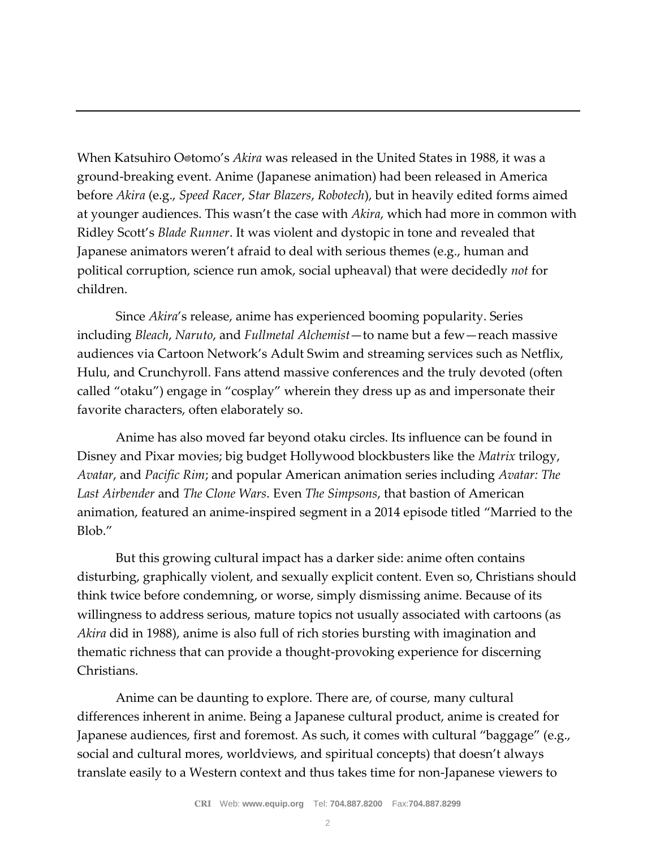When Katsuhiro O®tomo's *Akira* was released in the United States in 1988, it was a ground-breaking event. Anime (Japanese animation) had been released in America before *Akira* (e.g., *Speed Racer*, *Star Blazers*, *Robotech*), but in heavily edited forms aimed at younger audiences. This wasn't the case with *Akira*, which had more in common with Ridley Scott's *Blade Runner*. It was violent and dystopic in tone and revealed that Japanese animators weren't afraid to deal with serious themes (e.g., human and political corruption, science run amok, social upheaval) that were decidedly *not* for children.

Since *Akira*'s release, anime has experienced booming popularity. Series including *Bleach*, *Naruto*, and *Fullmetal Alchemist*—to name but a few—reach massive audiences via Cartoon Network's Adult Swim and streaming services such as Netflix, Hulu, and Crunchyroll. Fans attend massive conferences and the truly devoted (often called "otaku") engage in "cosplay" wherein they dress up as and impersonate their favorite characters, often elaborately so.

Anime has also moved far beyond otaku circles. Its influence can be found in Disney and Pixar movies; big budget Hollywood blockbusters like the *Matrix* trilogy, *Avatar*, and *Pacific Rim*; and popular American animation series including *Avatar: The Last Airbender* and *The Clone Wars*. Even *The Simpsons*, that bastion of American animation, featured an anime-inspired segment in a 2014 episode titled "Married to the Blob."

But this growing cultural impact has a darker side: anime often contains disturbing, graphically violent, and sexually explicit content. Even so, Christians should think twice before condemning, or worse, simply dismissing anime. Because of its willingness to address serious, mature topics not usually associated with cartoons (as *Akira* did in 1988), anime is also full of rich stories bursting with imagination and thematic richness that can provide a thought-provoking experience for discerning Christians.

Anime can be daunting to explore. There are, of course, many cultural differences inherent in anime. Being a Japanese cultural product, anime is created for Japanese audiences, first and foremost. As such, it comes with cultural "baggage" (e.g., social and cultural mores, worldviews, and spiritual concepts) that doesn't always translate easily to a Western context and thus takes time for non-Japanese viewers to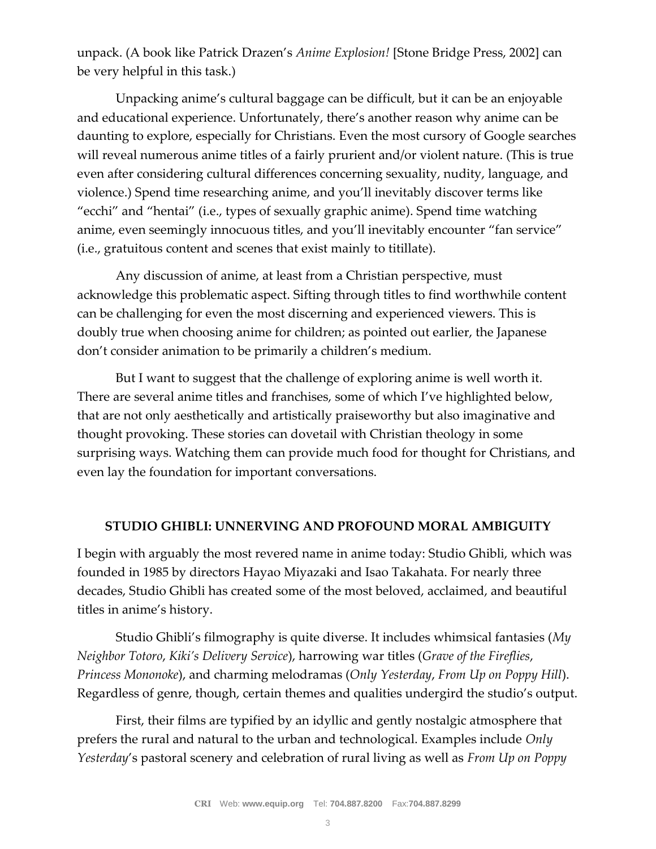unpack. (A book like Patrick Drazen's *Anime Explosion!* [Stone Bridge Press, 2002] can be very helpful in this task.)

Unpacking anime's cultural baggage can be difficult, but it can be an enjoyable and educational experience. Unfortunately, there's another reason why anime can be daunting to explore, especially for Christians. Even the most cursory of Google searches will reveal numerous anime titles of a fairly prurient and/or violent nature. (This is true even after considering cultural differences concerning sexuality, nudity, language, and violence.) Spend time researching anime, and you'll inevitably discover terms like "ecchi" and "hentai" (i.e., types of sexually graphic anime). Spend time watching anime, even seemingly innocuous titles, and you'll inevitably encounter "fan service" (i.e., gratuitous content and scenes that exist mainly to titillate).

Any discussion of anime, at least from a Christian perspective, must acknowledge this problematic aspect. Sifting through titles to find worthwhile content can be challenging for even the most discerning and experienced viewers. This is doubly true when choosing anime for children; as pointed out earlier, the Japanese don't consider animation to be primarily a children's medium.

But I want to suggest that the challenge of exploring anime is well worth it. There are several anime titles and franchises, some of which I've highlighted below, that are not only aesthetically and artistically praiseworthy but also imaginative and thought provoking. These stories can dovetail with Christian theology in some surprising ways. Watching them can provide much food for thought for Christians, and even lay the foundation for important conversations.

### **STUDIO GHIBLI: UNNERVING AND PROFOUND MORAL AMBIGUITY**

I begin with arguably the most revered name in anime today: Studio Ghibli, which was founded in 1985 by directors Hayao Miyazaki and Isao Takahata. For nearly three decades, Studio Ghibli has created some of the most beloved, acclaimed, and beautiful titles in anime's history.

Studio Ghibli's filmography is quite diverse. It includes whimsical fantasies (*My Neighbor Totoro*, *Kiki's Delivery Service*), harrowing war titles (*Grave of the Fireflies*, *Princess Mononoke*), and charming melodramas (*Only Yesterday*, *From Up on Poppy Hill*). Regardless of genre, though, certain themes and qualities undergird the studio's output.

First, their films are typified by an idyllic and gently nostalgic atmosphere that prefers the rural and natural to the urban and technological. Examples include *Only Yesterday*'s pastoral scenery and celebration of rural living as well as *From Up on Poppy*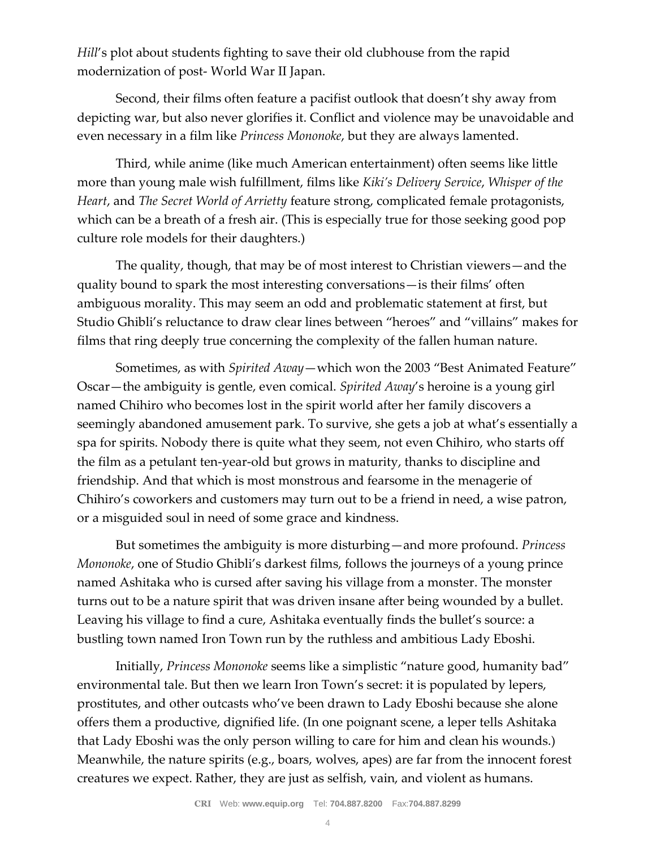*Hill's* plot about students fighting to save their old clubhouse from the rapid modernization of post- World War II Japan.

Second, their films often feature a pacifist outlook that doesn't shy away from depicting war, but also never glorifies it. Conflict and violence may be unavoidable and even necessary in a film like *Princess Mononoke*, but they are always lamented.

Third, while anime (like much American entertainment) often seems like little more than young male wish fulfillment, films like *Kiki's Delivery Service*, *Whisper of the Heart*, and *The Secret World of Arrietty* feature strong, complicated female protagonists, which can be a breath of a fresh air. (This is especially true for those seeking good pop culture role models for their daughters.)

The quality, though, that may be of most interest to Christian viewers—and the quality bound to spark the most interesting conversations—is their films' often ambiguous morality. This may seem an odd and problematic statement at first, but Studio Ghibli's reluctance to draw clear lines between "heroes" and "villains" makes for films that ring deeply true concerning the complexity of the fallen human nature.

Sometimes, as with *Spirited Away*—which won the 2003 "Best Animated Feature" Oscar—the ambiguity is gentle, even comical. *Spirited Away*'s heroine is a young girl named Chihiro who becomes lost in the spirit world after her family discovers a seemingly abandoned amusement park. To survive, she gets a job at what's essentially a spa for spirits. Nobody there is quite what they seem, not even Chihiro, who starts off the film as a petulant ten-year-old but grows in maturity, thanks to discipline and friendship. And that which is most monstrous and fearsome in the menagerie of Chihiro's coworkers and customers may turn out to be a friend in need, a wise patron, or a misguided soul in need of some grace and kindness.

But sometimes the ambiguity is more disturbing—and more profound. *Princess Mononoke*, one of Studio Ghibli's darkest films, follows the journeys of a young prince named Ashitaka who is cursed after saving his village from a monster. The monster turns out to be a nature spirit that was driven insane after being wounded by a bullet. Leaving his village to find a cure, Ashitaka eventually finds the bullet's source: a bustling town named Iron Town run by the ruthless and ambitious Lady Eboshi.

Initially, *Princess Mononoke* seems like a simplistic "nature good, humanity bad" environmental tale. But then we learn Iron Town's secret: it is populated by lepers, prostitutes, and other outcasts who've been drawn to Lady Eboshi because she alone offers them a productive, dignified life. (In one poignant scene, a leper tells Ashitaka that Lady Eboshi was the only person willing to care for him and clean his wounds.) Meanwhile, the nature spirits (e.g., boars, wolves, apes) are far from the innocent forest creatures we expect. Rather, they are just as selfish, vain, and violent as humans.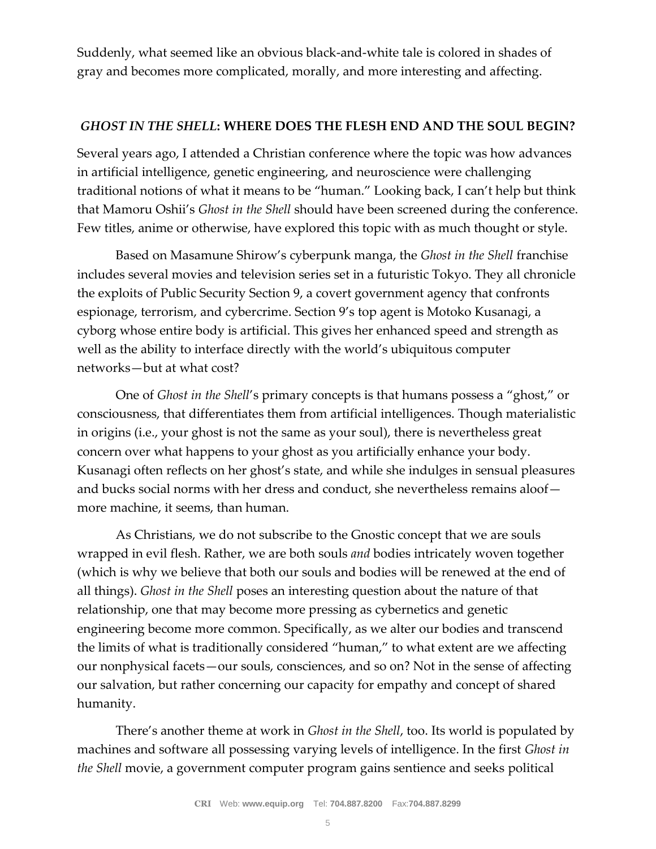Suddenly, what seemed like an obvious black-and-white tale is colored in shades of gray and becomes more complicated, morally, and more interesting and affecting.

# *GHOST IN THE SHELL***: WHERE DOES THE FLESH END AND THE SOUL BEGIN?**

Several years ago, I attended a Christian conference where the topic was how advances in artificial intelligence, genetic engineering, and neuroscience were challenging traditional notions of what it means to be "human." Looking back, I can't help but think that Mamoru Oshii's *Ghost in the Shell* should have been screened during the conference. Few titles, anime or otherwise, have explored this topic with as much thought or style.

Based on Masamune Shirow's cyberpunk manga, the *Ghost in the Shell* franchise includes several movies and television series set in a futuristic Tokyo. They all chronicle the exploits of Public Security Section 9, a covert government agency that confronts espionage, terrorism, and cybercrime. Section 9's top agent is Motoko Kusanagi, a cyborg whose entire body is artificial. This gives her enhanced speed and strength as well as the ability to interface directly with the world's ubiquitous computer networks—but at what cost?

One of *Ghost in the Shell*'s primary concepts is that humans possess a "ghost," or consciousness, that differentiates them from artificial intelligences. Though materialistic in origins (i.e., your ghost is not the same as your soul), there is nevertheless great concern over what happens to your ghost as you artificially enhance your body. Kusanagi often reflects on her ghost's state, and while she indulges in sensual pleasures and bucks social norms with her dress and conduct, she nevertheless remains aloof more machine, it seems, than human.

As Christians, we do not subscribe to the Gnostic concept that we are souls wrapped in evil flesh. Rather, we are both souls *and* bodies intricately woven together (which is why we believe that both our souls and bodies will be renewed at the end of all things). *Ghost in the Shell* poses an interesting question about the nature of that relationship, one that may become more pressing as cybernetics and genetic engineering become more common. Specifically, as we alter our bodies and transcend the limits of what is traditionally considered "human," to what extent are we affecting our nonphysical facets—our souls, consciences, and so on? Not in the sense of affecting our salvation, but rather concerning our capacity for empathy and concept of shared humanity.

There's another theme at work in *Ghost in the Shell*, too. Its world is populated by machines and software all possessing varying levels of intelligence. In the first *Ghost in the Shell* movie, a government computer program gains sentience and seeks political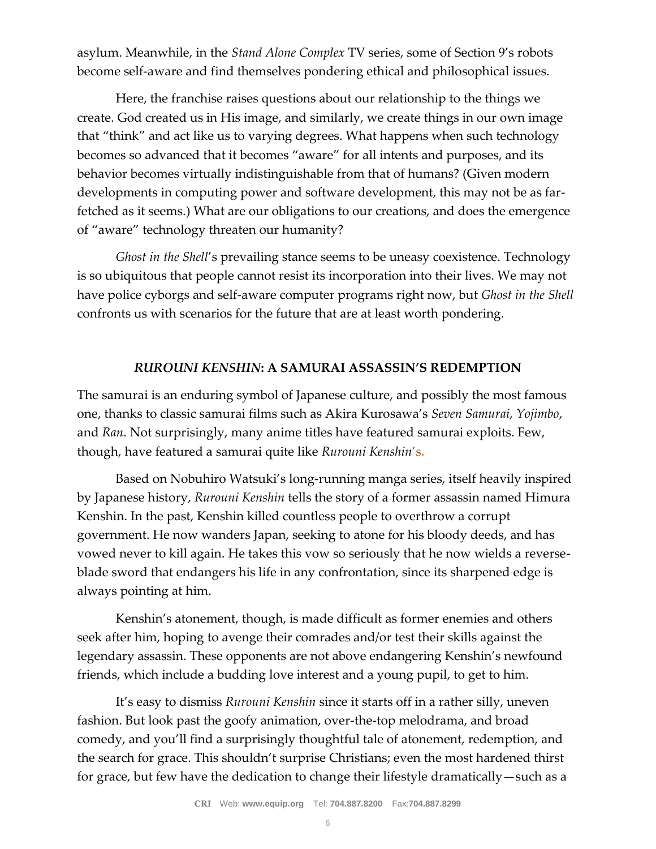asylum. Meanwhile, in the *Stand Alone Complex* TV series, some of Section 9's robots become self-aware and find themselves pondering ethical and philosophical issues.

Here, the franchise raises questions about our relationship to the things we create. God created us in His image, and similarly, we create things in our own image that "think" and act like us to varying degrees. What happens when such technology becomes so advanced that it becomes "aware" for all intents and purposes, and its behavior becomes virtually indistinguishable from that of humans? (Given modern developments in computing power and software development, this may not be as farfetched as it seems.) What are our obligations to our creations, and does the emergence of "aware" technology threaten our humanity?

*Ghost in the Shell*'s prevailing stance seems to be uneasy coexistence. Technology is so ubiquitous that people cannot resist its incorporation into their lives. We may not have police cyborgs and self-aware computer programs right now, but *Ghost in the Shell* confronts us with scenarios for the future that are at least worth pondering.

#### *RUROUNI KENSHIN***: A SAMURAI ASSASSIN'S REDEMPTION**

The samurai is an enduring symbol of Japanese culture, and possibly the most famous one, thanks to classic samurai films such as Akira Kurosawa's *Seven Samurai*, *Yojimbo*, and *Ran*. Not surprisingly, many anime titles have featured samurai exploits. Few, though, have featured a samurai quite like *Rurouni Kenshin*'s.

Based on Nobuhiro Watsuki's long-running manga series, itself heavily inspired by Japanese history, *Rurouni Kenshin* tells the story of a former assassin named Himura Kenshin. In the past, Kenshin killed countless people to overthrow a corrupt government. He now wanders Japan, seeking to atone for his bloody deeds, and has vowed never to kill again. He takes this vow so seriously that he now wields a reverseblade sword that endangers his life in any confrontation, since its sharpened edge is always pointing at him.

Kenshin's atonement, though, is made difficult as former enemies and others seek after him, hoping to avenge their comrades and/or test their skills against the legendary assassin. These opponents are not above endangering Kenshin's newfound friends, which include a budding love interest and a young pupil, to get to him.

It's easy to dismiss *Rurouni Kenshin* since it starts off in a rather silly, uneven fashion. But look past the goofy animation, over-the-top melodrama, and broad comedy, and you'll find a surprisingly thoughtful tale of atonement, redemption, and the search for grace. This shouldn't surprise Christians; even the most hardened thirst for grace, but few have the dedication to change their lifestyle dramatically—such as a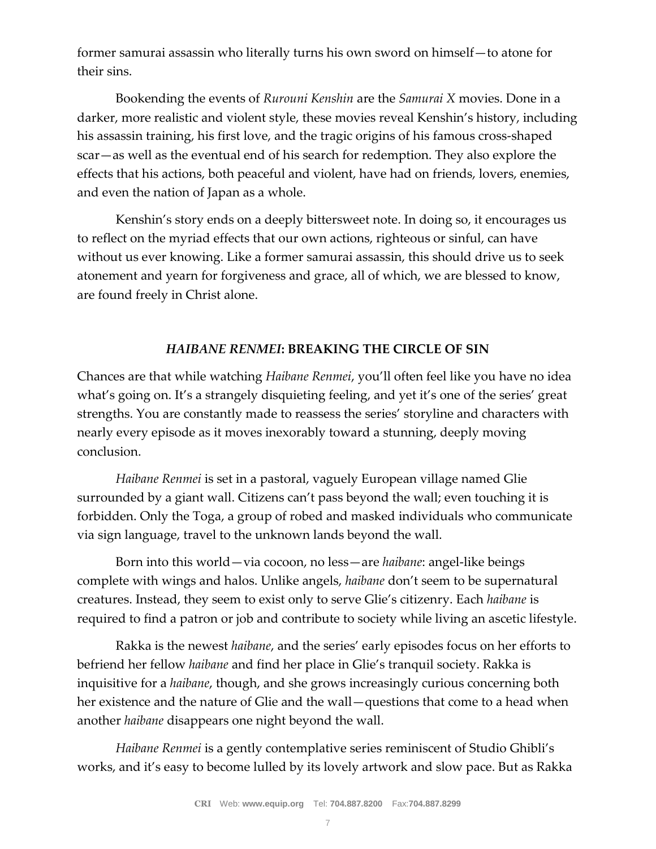former samurai assassin who literally turns his own sword on himself—to atone for their sins.

Bookending the events of *Rurouni Kenshin* are the *Samurai X* movies. Done in a darker, more realistic and violent style, these movies reveal Kenshin's history, including his assassin training, his first love, and the tragic origins of his famous cross-shaped scar—as well as the eventual end of his search for redemption. They also explore the effects that his actions, both peaceful and violent, have had on friends, lovers, enemies, and even the nation of Japan as a whole.

Kenshin's story ends on a deeply bittersweet note. In doing so, it encourages us to reflect on the myriad effects that our own actions, righteous or sinful, can have without us ever knowing. Like a former samurai assassin, this should drive us to seek atonement and yearn for forgiveness and grace, all of which, we are blessed to know, are found freely in Christ alone.

## *HAIBANE RENMEI***: BREAKING THE CIRCLE OF SIN**

Chances are that while watching *Haibane Renmei*, you'll often feel like you have no idea what's going on. It's a strangely disquieting feeling, and yet it's one of the series' great strengths. You are constantly made to reassess the series' storyline and characters with nearly every episode as it moves inexorably toward a stunning, deeply moving conclusion.

*Haibane Renmei* is set in a pastoral, vaguely European village named Glie surrounded by a giant wall. Citizens can't pass beyond the wall; even touching it is forbidden. Only the Toga, a group of robed and masked individuals who communicate via sign language, travel to the unknown lands beyond the wall.

Born into this world—via cocoon, no less—are *haibane*: angel-like beings complete with wings and halos. Unlike angels, *haibane* don't seem to be supernatural creatures. Instead, they seem to exist only to serve Glie's citizenry. Each *haibane* is required to find a patron or job and contribute to society while living an ascetic lifestyle.

Rakka is the newest *haibane*, and the series' early episodes focus on her efforts to befriend her fellow *haibane* and find her place in Glie's tranquil society. Rakka is inquisitive for a *haibane*, though, and she grows increasingly curious concerning both her existence and the nature of Glie and the wall—questions that come to a head when another *haibane* disappears one night beyond the wall.

*Haibane Renmei* is a gently contemplative series reminiscent of Studio Ghibli's works, and it's easy to become lulled by its lovely artwork and slow pace. But as Rakka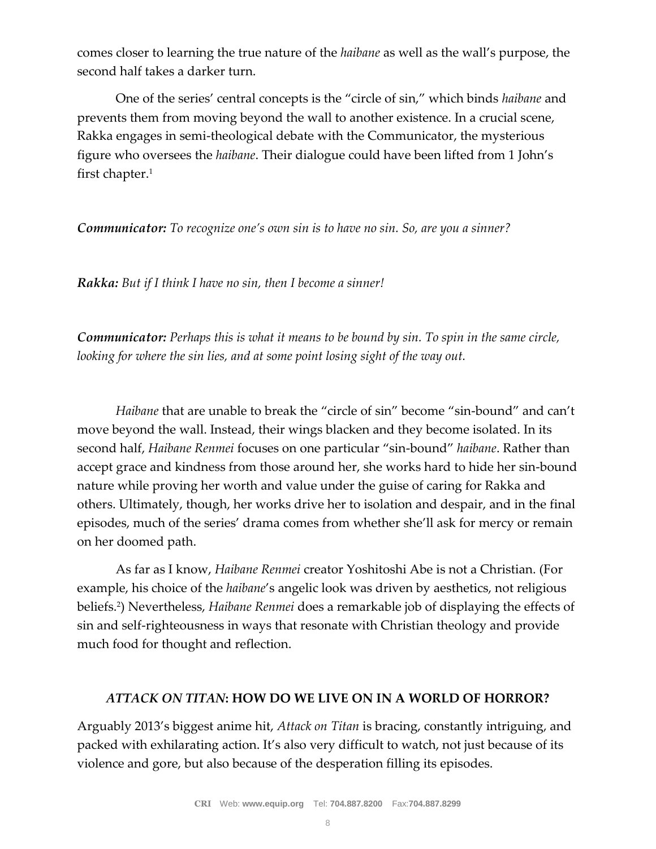comes closer to learning the true nature of the *haibane* as well as the wall's purpose, the second half takes a darker turn.

One of the series' central concepts is the "circle of sin," which binds *haibane* and prevents them from moving beyond the wall to another existence. In a crucial scene, Rakka engages in semi-theological debate with the Communicator, the mysterious figure who oversees the *haibane*. Their dialogue could have been lifted from 1 John's first chapter. $1$ 

*Communicator: To recognize one's own sin is to have no sin. So, are you a sinner?*

*Rakka: But if I think I have no sin, then I become a sinner!*

*Communicator: Perhaps this is what it means to be bound by sin. To spin in the same circle, looking for where the sin lies, and at some point losing sight of the way out.*

*Haibane* that are unable to break the "circle of sin" become "sin-bound" and can't move beyond the wall. Instead, their wings blacken and they become isolated. In its second half, *Haibane Renmei* focuses on one particular "sin-bound" *haibane*. Rather than accept grace and kindness from those around her, she works hard to hide her sin-bound nature while proving her worth and value under the guise of caring for Rakka and others. Ultimately, though, her works drive her to isolation and despair, and in the final episodes, much of the series' drama comes from whether she'll ask for mercy or remain on her doomed path.

As far as I know, *Haibane Renmei* creator Yoshitoshi Abe is not a Christian. (For example, his choice of the *haibane*'s angelic look was driven by aesthetics, not religious beliefs.<sup>2</sup> ) Nevertheless, *Haibane Renmei* does a remarkable job of displaying the effects of sin and self-righteousness in ways that resonate with Christian theology and provide much food for thought and reflection.

## *ATTACK ON TITAN***: HOW DO WE LIVE ON IN A WORLD OF HORROR?**

Arguably 2013's biggest anime hit, *Attack on Titan* is bracing, constantly intriguing, and packed with exhilarating action. It's also very difficult to watch, not just because of its violence and gore, but also because of the desperation filling its episodes.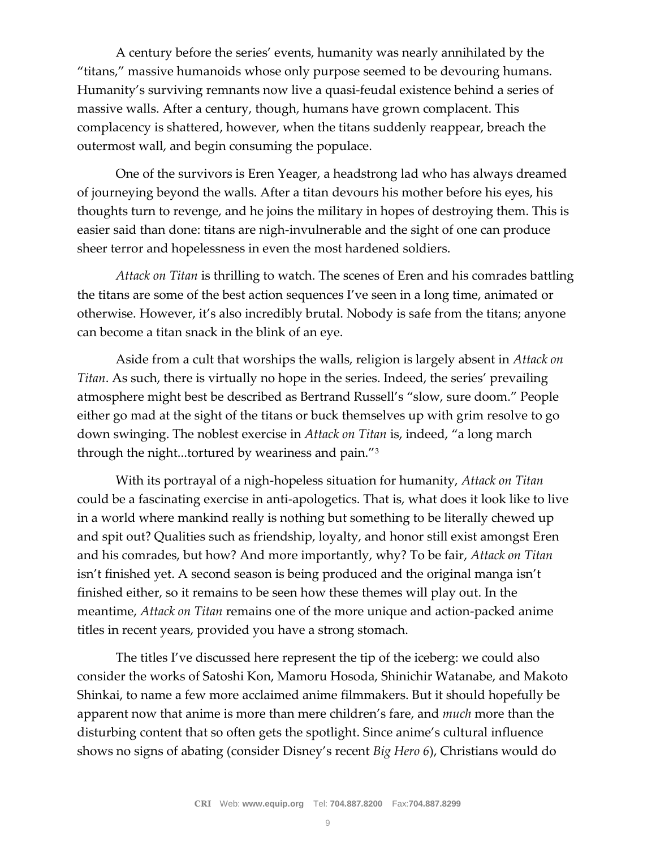A century before the series' events, humanity was nearly annihilated by the "titans," massive humanoids whose only purpose seemed to be devouring humans. Humanity's surviving remnants now live a quasi-feudal existence behind a series of massive walls. After a century, though, humans have grown complacent. This complacency is shattered, however, when the titans suddenly reappear, breach the outermost wall, and begin consuming the populace.

One of the survivors is Eren Yeager, a headstrong lad who has always dreamed of journeying beyond the walls. After a titan devours his mother before his eyes, his thoughts turn to revenge, and he joins the military in hopes of destroying them. This is easier said than done: titans are nigh-invulnerable and the sight of one can produce sheer terror and hopelessness in even the most hardened soldiers.

*Attack on Titan* is thrilling to watch. The scenes of Eren and his comrades battling the titans are some of the best action sequences I've seen in a long time, animated or otherwise. However, it's also incredibly brutal. Nobody is safe from the titans; anyone can become a titan snack in the blink of an eye.

Aside from a cult that worships the walls, religion is largely absent in *Attack on Titan*. As such, there is virtually no hope in the series. Indeed, the series' prevailing atmosphere might best be described as Bertrand Russell's "slow, sure doom." People either go mad at the sight of the titans or buck themselves up with grim resolve to go down swinging. The noblest exercise in *Attack on Titan* is, indeed, "a long march through the night...tortured by weariness and pain."<sup>3</sup>

With its portrayal of a nigh-hopeless situation for humanity, *Attack on Titan* could be a fascinating exercise in anti-apologetics. That is, what does it look like to live in a world where mankind really is nothing but something to be literally chewed up and spit out? Qualities such as friendship, loyalty, and honor still exist amongst Eren and his comrades, but how? And more importantly, why? To be fair, *Attack on Titan* isn't finished yet. A second season is being produced and the original manga isn't finished either, so it remains to be seen how these themes will play out. In the meantime, *Attack on Titan* remains one of the more unique and action-packed anime titles in recent years, provided you have a strong stomach.

The titles I've discussed here represent the tip of the iceberg: we could also consider the works of Satoshi Kon, Mamoru Hosoda, Shinichir Watanabe, and Makoto Shinkai, to name a few more acclaimed anime filmmakers. But it should hopefully be apparent now that anime is more than mere children's fare, and *much* more than the disturbing content that so often gets the spotlight. Since anime's cultural influence shows no signs of abating (consider Disney's recent *Big Hero 6*), Christians would do